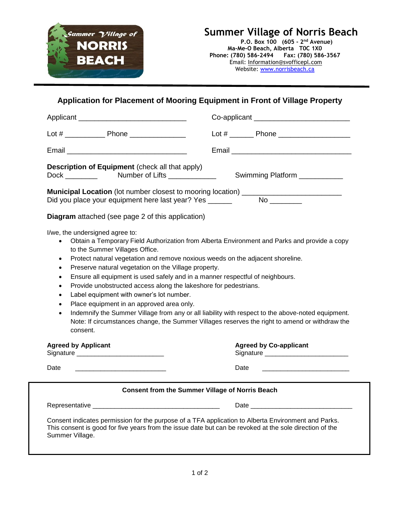

## **Summer Village of Norris Beach**

**P.O. Box 100 (605 - 2 nd Avenue) Ma-Me-O Beach, Alberta T0C 1X0 Phone: (780) 586-2494 Fax: (780) 586-3567** Email: [Information@svofficepl.com](mailto:Information@svofficepl.com) Website: [www.norrisbeach.ca](http://www.norrisbeach.ca/)

## **Application for Placement of Mooring Equipment in Front of Village Property**

|                                                                                                                                                                                                                                                                                                                                                                                                                                                                                                                                                                                                                                                                                                                                                                                                                                                                                      | Co-applicant _______________________________                                                                                                                                                                                   |
|--------------------------------------------------------------------------------------------------------------------------------------------------------------------------------------------------------------------------------------------------------------------------------------------------------------------------------------------------------------------------------------------------------------------------------------------------------------------------------------------------------------------------------------------------------------------------------------------------------------------------------------------------------------------------------------------------------------------------------------------------------------------------------------------------------------------------------------------------------------------------------------|--------------------------------------------------------------------------------------------------------------------------------------------------------------------------------------------------------------------------------|
|                                                                                                                                                                                                                                                                                                                                                                                                                                                                                                                                                                                                                                                                                                                                                                                                                                                                                      | Lot # __________ Phone ________________________                                                                                                                                                                                |
|                                                                                                                                                                                                                                                                                                                                                                                                                                                                                                                                                                                                                                                                                                                                                                                                                                                                                      |                                                                                                                                                                                                                                |
| <b>Description of Equipment</b> (check all that apply)<br>Dock Number of Lifts<br>Swimming Platform ___________                                                                                                                                                                                                                                                                                                                                                                                                                                                                                                                                                                                                                                                                                                                                                                      |                                                                                                                                                                                                                                |
| <b>Municipal Location</b> (lot number closest to mooring location) _________________________<br>Did you place your equipment here last year? Yes ______<br>No provide a provide a provide a provide a provide a provide a provide a provide a provide a provide a provide                                                                                                                                                                                                                                                                                                                                                                                                                                                                                                                                                                                                            |                                                                                                                                                                                                                                |
| <b>Diagram</b> attached (see page 2 of this application)                                                                                                                                                                                                                                                                                                                                                                                                                                                                                                                                                                                                                                                                                                                                                                                                                             |                                                                                                                                                                                                                                |
| I/we, the undersigned agree to:<br>Obtain a Temporary Field Authorization from Alberta Environment and Parks and provide a copy<br>$\bullet$<br>to the Summer Villages Office.<br>Protect natural vegetation and remove noxious weeds on the adjacent shoreline.<br>$\bullet$<br>Preserve natural vegetation on the Village property.<br>$\bullet$<br>Ensure all equipment is used safely and in a manner respectful of neighbours.<br>$\bullet$<br>Provide unobstructed access along the lakeshore for pedestrians.<br>$\bullet$<br>Label equipment with owner's lot number.<br>$\bullet$<br>Place equipment in an approved area only.<br>$\bullet$<br>Indemnify the Summer Village from any or all liability with respect to the above-noted equipment.<br>$\bullet$<br>Note: If circumstances change, the Summer Villages reserves the right to amend or withdraw the<br>consent. |                                                                                                                                                                                                                                |
| <b>Agreed by Applicant</b>                                                                                                                                                                                                                                                                                                                                                                                                                                                                                                                                                                                                                                                                                                                                                                                                                                                           | <b>Agreed by Co-applicant</b>                                                                                                                                                                                                  |
| Date                                                                                                                                                                                                                                                                                                                                                                                                                                                                                                                                                                                                                                                                                                                                                                                                                                                                                 | Date                                                                                                                                                                                                                           |
| <b>Consent from the Summer Village of Norris Beach</b>                                                                                                                                                                                                                                                                                                                                                                                                                                                                                                                                                                                                                                                                                                                                                                                                                               |                                                                                                                                                                                                                                |
|                                                                                                                                                                                                                                                                                                                                                                                                                                                                                                                                                                                                                                                                                                                                                                                                                                                                                      | Date and the contract of the contract of the contract of the contract of the contract of the contract of the contract of the contract of the contract of the contract of the contract of the contract of the contract of the c |
| Consent indicates permission for the purpose of a TFA application to Alberta Environment and Parks.<br>This consent is good for five years from the issue date but can be revoked at the sole direction of the<br>Summer Village.                                                                                                                                                                                                                                                                                                                                                                                                                                                                                                                                                                                                                                                    |                                                                                                                                                                                                                                |